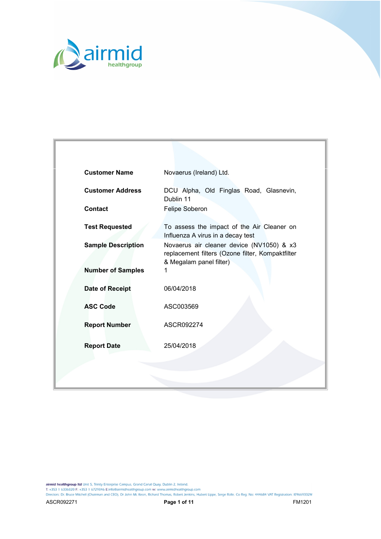

| <b>Customer Name</b>      | Novaerus (Ireland) Ltd.                                                                                                  |
|---------------------------|--------------------------------------------------------------------------------------------------------------------------|
| <b>Customer Address</b>   | DCU Alpha, Old Finglas Road, Glasnevin,<br>Dublin 11                                                                     |
| <b>Contact</b>            | Felipe Soberon                                                                                                           |
| <b>Test Requested</b>     | To assess the impact of the Air Cleaner on<br>Influenza A virus in a decay test                                          |
| <b>Sample Description</b> | Novaerus air cleaner device (NV1050) & x3<br>replacement filters (Ozone filter, Kompaktfilter<br>& Megalam panel filter) |
| <b>Number of Samples</b>  | 1                                                                                                                        |
| Date of Receipt           | 06/04/2018                                                                                                               |
| <b>ASC Code</b>           | ASC003569                                                                                                                |
| <b>Report Number</b>      | ASCR092274                                                                                                               |
| <b>Report Date</b>        | 25/04/2018                                                                                                               |
|                           |                                                                                                                          |
|                           |                                                                                                                          |

**airmid healthgroup ltd** Unit 5, Trinity Enterprise Campus, Grand Canal Quay, Dublin 2, Ireland.<br>T: +353 1 6336820 F: +353 1 6729846 E:info@airmidhealthgroup.com w: www.airmidhealthgroup.com<br>Directors: Dr. Bruce Mitchell (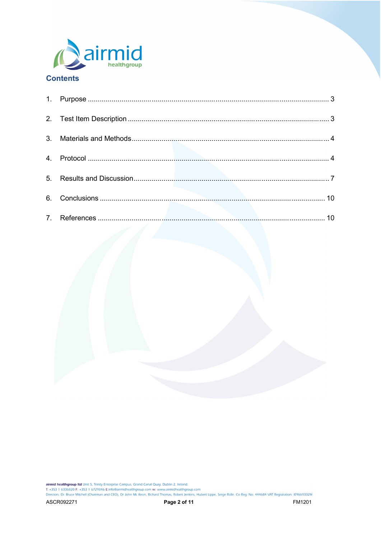



**airmid healthgroup ltd** Unit 5, Trinity Enterprise Campus, Grand Canal Quay, Dublin 2, Ireland.<br>T: +353 1 6336820 F: +353 1 6729846 E:info@airmidhealthgroup.com w: www.airmidhealthgroup.com<br>Directors: Dr. Bruce Mitchell (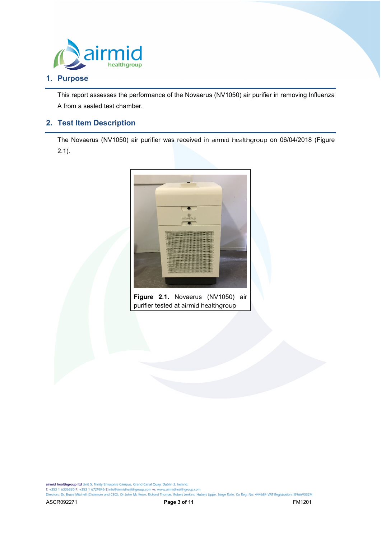

# **1. Purpose**

This report assesses the performance of the Novaerus (NV1050) air purifier in removing Influenza A from a sealed test chamber.

# **2. Test Item Description**

The Novaerus (NV1050) air purifier was received in airmid healthgroup on 06/04/2018 (Figure  $2.1$ ).



**Figure 2.1.** Novaerus (NV1050) air purifier tested at airmid healthgroup

airmid healthgroup ltd Unit 5, Trinity Enterprise Campus, Grand Canal Quay, Dublin 2, Ireland.<br>T: +353 1 6336820 F: +353 1 6729846 E:info@airmidhealthgroup.com w: www.airmidhealthgroup.com

Directors: Dr. Bruce Mitchell (Chairman and CEO), Dr John Mc Keon, Richard Thomas, Robert Jenkins, Hubert Lippe, Serge Rolle. Co Reg: No: 444684 VAT Registration: IE9669332M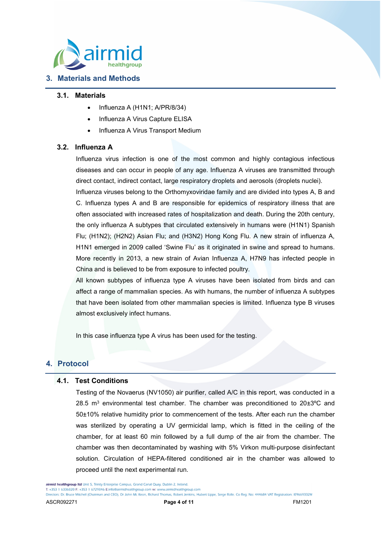

# **3. Materials and Methods**

#### **3.1. Materials**

- Influenza A (H1N1; A/PR/8/34)
- Influenza A Virus Capture ELISA
- Influenza A Virus Transport Medium

### **3.2. Influenza A**

Influenza virus infection is one of the most common and highly contagious infectious diseases and can occur in people of any age. Influenza A viruses are transmitted through direct contact, indirect contact, large respiratory droplets and aerosols (droplets nuclei).

Influenza viruses belong to the Orthomyxoviridae family and are divided into types A, B and C. Influenza types A and B are responsible for epidemics of respiratory illness that are often associated with increased rates of hospitalization and death. During the 20th century, the only influenza A subtypes that circulated extensively in humans were (H1N1) Spanish Flu; (H1N2); (H2N2) Asian Flu; and (H3N2) Hong Kong Flu. A new strain of influenza A, H1N1 emerged in 2009 called 'Swine Flu' as it originated in swine and spread to humans. More recently in 2013, a new strain of Avian Influenza A, H7N9 has infected people in China and is believed to be from exposure to infected poultry.

All known subtypes of influenza type A viruses have been isolated from birds and can affect a range of mammalian species. As with humans, the number of influenza A subtypes that have been isolated from other mammalian species is limited. Influenza type B viruses almost exclusively infect humans.

In this case influenza type A virus has been used for the testing.

## **4. Protocol**

### **4.1. Test Conditions**

Testing of the Novaerus (NV1050) air purifier, called A/C in this report, was conducted in a 28.5  $m^3$  environmental test chamber. The chamber was preconditioned to 20 $\pm 3^{\circ}$ C and 50±10% relative humidity prior to commencement of the tests. After each run the chamber was sterilized by operating a UV germicidal lamp, which is fitted in the ceiling of the chamber, for at least 60 min followed by a full dump of the air from the chamber. The chamber was then decontaminated by washing with 5% Virkon multi-purpose disinfectant solution. Circulation of HEPA-filtered conditioned air in the chamber was allowed to proceed until the next experimental run.

airmid healthgroup Itd Unit 5. Trinity Enterprise Campus, Grand Canal Quay, Dublin 2, Ireland.

T: +353 1 6336820 F: +353 1 6729846 E:info@airmidhealthgroup.com w: www.airmidhealthgroup.com

Directors: Dr. Bruce Mitchell (Chairman and CEO), Dr John Mc Keon, Richard Thomas, Robert Jenkins, Hubert Lippe, Serge Rolle. Co Reg: No: 444684 VAT Registration: IE9669332M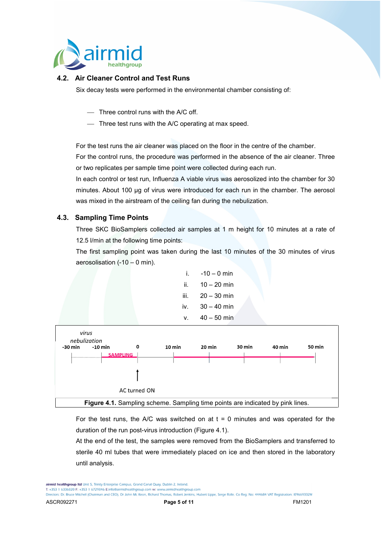

## **4.2. Air Cleaner Control and Test Runs**

Six decay tests were performed in the environmental chamber consisting of:

- Three control runs with the A/C off.
- Three test runs with the A/C operating at max speed.

For the test runs the air cleaner was placed on the floor in the centre of the chamber.

For the control runs, the procedure was performed in the absence of the air cleaner. Three or two replicates per sample time point were collected during each run.

In each control or test run, Influenza A viable virus was aerosolized into the chamber for 30 minutes. About 100 µg of virus were introduced for each run in the chamber. The aerosol was mixed in the airstream of the ceiling fan during the nebulization.

## **4.3. Sampling Time Points**

Three SKC BioSamplers collected air samples at 1 m height for 10 minutes at a rate of 12.5 l/min at the following time points:

The first sampling point was taken during the last 10 minutes of the 30 minutes of virus aerosolisation (-10 – 0 min).





For the test runs, the A/C was switched on at  $t = 0$  minutes and was operated for the duration of the run post-virus introduction (Figure 4.1).

At the end of the test, the samples were removed from the BioSamplers and transferred to sterile 40 ml tubes that were immediately placed on ice and then stored in the laboratory until analysis.

airmid healthgroup Itd Unit 5. Trinity Enterprise Campus, Grand Canal Quay, Dublin 2, Ireland. T: +353 1 6336820 F: +353 1 6729846 E:info@airmidhealthgroup.com w: www.airmidhealthgroup.com

Directors: Dr. Bruce Mitchell (Chairman and CEO), Dr John Mc Keon, Richard Thomas, Robert Jenkins, Hubert Lippe, Serge Rolle. Co Reg: No: 444684 VAT Registration: IE9669332M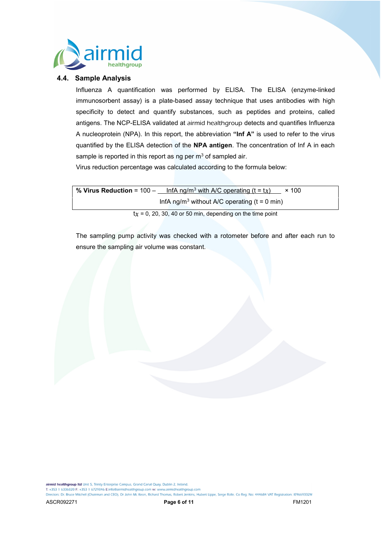

#### **4.4. Sample Analysis**

Influenza A quantification was performed by ELISA. The ELISA (enzyme-linked immunosorbent assay) is a plate-based assay technique that uses antibodies with high specificity to detect and quantify substances, such as peptides and proteins, called antigens. The NCP-ELISA validated at airmid healthgroup detects and quantifies Influenza A nucleoprotein (NPA). In this report, the abbreviation **"Inf A"** is used to refer to the virus quantified by the ELISA detection of the **NPA antigen**. The concentration of Inf A in each sample is reported in this report as ng per  $m<sup>3</sup>$  of sampled air.

Virus reduction percentage was calculated according to the formula below:

| % Virus Reduction = $100 -$ | InfA ng/m <sup>3</sup> with A/C operating (t = tx)         | $\times$ 100 |
|-----------------------------|------------------------------------------------------------|--------------|
|                             | InfA ng/m <sup>3</sup> without A/C operating $(t = 0$ min) |              |

 $tx = 0$ , 20, 30, 40 or 50 min, depending on the time point

The sampling pump activity was checked with a rotometer before and after each run to ensure the sampling air volume was constant.

airmid healthgroup Itd Unit 5, Trinity Enterprise Campus, Grand Canal Quay, Dublin 2, Ireland.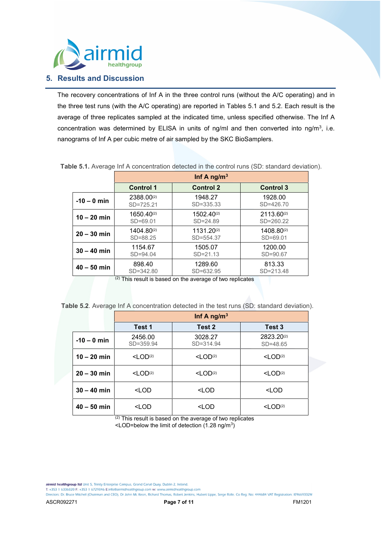

## **5. Results and Discussion**

The recovery concentrations of Inf A in the three control runs (without the A/C operating) and in the three test runs (with the A/C operating) are reported in Tables 5.1 and 5.2. Each result is the average of three replicates sampled at the indicated time, unless specified otherwise. The Inf A concentration was determined by ELISA in units of ng/ml and then converted into ng/m<sup>3</sup>, i.e. nanograms of Inf A per cubic metre of air sampled by the SKC BioSamplers.

|               |                  | Inf A ng/m <sup>3</sup> |                  |
|---------------|------------------|-------------------------|------------------|
|               | <b>Control 1</b> | <b>Control 2</b>        | <b>Control 3</b> |
| $-10 - 0$ min | 2388.00(2)       | 1948.27                 | 1928.00          |
|               | $SD = 725.21$    | $SD = 335.33$           | $SD = 426.70$    |
| $10 - 20$ min | 1650.40(2)       | 1502.40(2)              | $2113.60^{(2)}$  |
|               | $SD = 69.01$     | $SD = 24.89$            | $SD = 260.22$    |
| $20 - 30$ min | 1404.80(2)       | $1131.20^{(2)}$         | 1408.80(2)       |
|               | $SD = 88.25$     | SD=554.37               | $SD = 69.01$     |
| $30 - 40$ min | 1154.67          | 1505.07                 | 1200.00          |
|               | $SD = 94.04$     | $SD = 21.13$            | SD=90.67         |
| $40 - 50$ min | 898.40           | 1289.60                 | 813.33           |
|               | SD=342.80        | $SD = 632.95$           | $SD = 213.48$    |

**Table 5.1.** Average Inf A concentration detected in the control runs (SD: standard deviation).

(2) This result is based on the average of two replicates

**Table 5.2**. Average Inf A concentration detected in the test runs (SD: standard deviation).

|               | Inf A ng/m <sup>3</sup>                                                         |                                                     |                            |
|---------------|---------------------------------------------------------------------------------|-----------------------------------------------------|----------------------------|
|               | Test 1                                                                          | Test 2                                              | Test 3                     |
| $-10 - 0$ min | 2456.00<br>SD=359.94                                                            | 3028.27<br>$SD = 314.94$                            | 2823.20(2)<br>$SD = 48.65$ |
| $10 - 20$ min | $<$ LOD(2)                                                                      | $<$ LOD(2)                                          | $<$ LOD(2)                 |
| $20 - 30$ min | $<$ LOD <sup>(2)</sup>                                                          | $<$ LOD <sup>(2)</sup>                              | $<$ LOD <sup>(2)</sup>     |
| $30 - 40$ min | <lod< th=""><th><lod< th=""><th><lod< th=""></lod<></th></lod<></th></lod<>     | <lod< th=""><th><lod< th=""></lod<></th></lod<>     | <lod< th=""></lod<>        |
| $40 - 50$ min | <lod< th=""><th><lod< th=""><th><math>&lt;</math>LOD(2)</th></lod<></th></lod<> | <lod< th=""><th><math>&lt;</math>LOD(2)</th></lod<> | $<$ LOD(2)                 |

(2) This result is based on the average of two replicates <LOD=below the limit of detection (1.28 ng/m<sup>3</sup> )

airmid healthgroup Itd Unit 5, Trinity Enterprise Campus, Grand Canal Quay, Dublin 2, Ireland.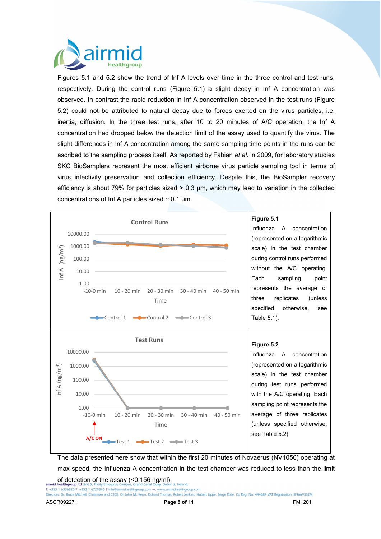

Figures 5.1 and 5.2 show the trend of Inf A levels over time in the three control and test runs, respectively. During the control runs (Figure 5.1) a slight decay in Inf A concentration was observed. In contrast the rapid reduction in Inf A concentration observed in the test runs (Figure 5.2) could not be attributed to natural decay due to forces exerted on the virus particles, i.e. inertia, diffusion. In the three test runs, after 10 to 20 minutes of A/C operation, the Inf A concentration had dropped below the detection limit of the assay used to quantify the virus. The slight differences in Inf A concentration among the same sampling time points in the runs can be ascribed to the sampling process itself. As reported by Fabian *et al*. in 2009, for laboratory studies SKC BioSamplers represent the most efficient airborne virus particle sampling tool in terms of virus infectivity preservation and collection efficiency. Despite this, the BioSampler recovery efficiency is about 79% for particles sized > 0.3 µm, which may lead to variation in the collected concentrations of Inf A particles sized  $\sim$  0.1 µm.



The data presented here show that within the first 20 minutes of Novaerus (NV1050) operating at max speed, the Influenza A concentration in the test chamber was reduced to less than the limit of detection of the assay (<0.156 ng/ml).<br>airmid healthoroun ltd Unit 5. Trinity Enterprise Campus, Grand Canal Quay, Dublin 2, Ireland.

T: +353 1 6336820 F: +353 1 6729846 E:info@airmidhealthgroup.com w: www.airmidhealthgroup.com

Directors: Dr. Bruce Mitchell (Chairman and CEO), Dr John Mc Keon, Richard Thomas, Robert Jenkins, Hubert Lippe, Serge Rolle. Co Reg: No: 444684 VAT Registration: IE9669332M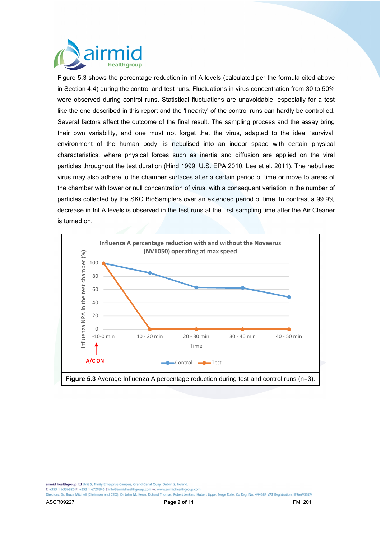

Figure 5.3 shows the percentage reduction in Inf A levels (calculated per the formula cited above in Section 4.4) during the control and test runs. Fluctuations in virus concentration from 30 to 50% were observed during control runs. Statistical fluctuations are unavoidable, especially for a test like the one described in this report and the 'linearity' of the control runs can hardly be controlled. Several factors affect the outcome of the final result. The sampling process and the assay bring their own variability, and one must not forget that the virus, adapted to the ideal 'survival' environment of the human body, is nebulised into an indoor space with certain physical characteristics, where physical forces such as inertia and diffusion are applied on the viral particles throughout the test duration (Hind 1999, U.S. EPA 2010, Lee et al. 2011). The nebulised virus may also adhere to the chamber surfaces after a certain period of time or move to areas of the chamber with lower or null concentration of virus, with a consequent variation in the number of particles collected by the SKC BioSamplers over an extended period of time. In contrast a 99.9% decrease in Inf A levels is observed in the test runs at the first sampling time after the Air Cleaner is turned on.



airmid healthgroup Itd Unit 5. Trinity Enterprise Campus, Grand Canal Quay, Dublin 2, Ireland.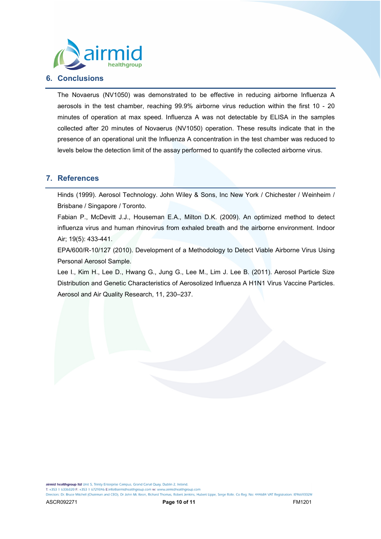

# **6. Conclusions**

The Novaerus (NV1050) was demonstrated to be effective in reducing airborne Influenza A aerosols in the test chamber, reaching 99.9% airborne virus reduction within the first 10 - 20 minutes of operation at max speed. Influenza A was not detectable by ELISA in the samples collected after 20 minutes of Novaerus (NV1050) operation. These results indicate that in the presence of an operational unit the Influenza A concentration in the test chamber was reduced to levels below the detection limit of the assay performed to quantify the collected airborne virus.

## **7. References**

Hinds (1999). Aerosol Technology. John Wiley & Sons, Inc New York / Chichester / Weinheim / Brisbane / Singapore / Toronto.

Fabian P., McDevitt J.J., Houseman E.A., Milton D.K. (2009). An optimized method to detect influenza virus and human rhinovirus from exhaled breath and the airborne environment. Indoor Air; 19(5): 433-441.

EPA/600/R-10/127 (2010). Development of a Methodology to Detect Viable Airborne Virus Using Personal Aerosol Sample.

Lee I., Kim H., Lee D., Hwang G., Jung G., Lee M., Lim J. Lee B. (2011). Aerosol Particle Size Distribution and Genetic Characteristics of Aerosolized Influenza A H1N1 Virus Vaccine Particles. Aerosol and Air Quality Research, 11, 230–237.

airmid healthgroup Itd Unit 5. Trinity Enterprise Campus, Grand Canal Quay, Dublin 2, Ireland.